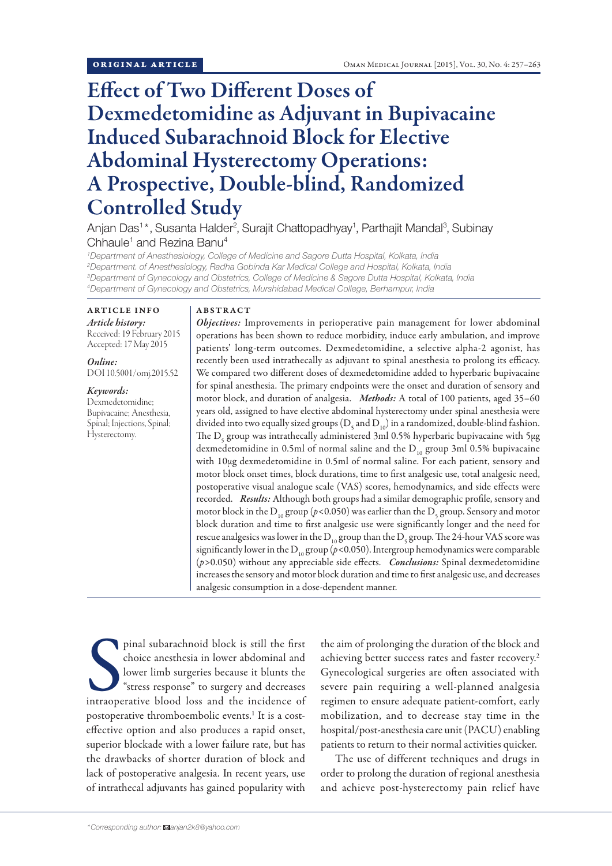# Effect of Two Different Doses of Dexmedetomidine as Adjuvant in Bupivacaine Induced Subarachnoid Block for Elective Abdominal Hysterectomy Operations: A Prospective, Double-blind, Randomized Controlled Study

Anjan Das<sup>1\*</sup>, Susanta Halder<sup>2</sup>, Surajit Chattopadhyay<sup>1</sup>, Parthajit Mandal<sup>3</sup>, Subinay Chhaule<sup>1</sup> and Rezina Banu<sup>4</sup>

 *Department of Anesthesiology, College of Medicine and Sagore Dutta Hospital, Kolkata, India Department. of Anesthesiology, Radha Gobinda Kar Medical College and Hospital, Kolkata, India Department of Gynecology and Obstetrics, College of Medicine & Sagore Dutta Hospital, Kolkata, India Department of Gynecology and Obstetrics, Murshidabad Medical College, Berhampur, India*

#### ARTICLE INFO *Article history:*

Received: 19 February 2015 Accepted: 17 May 2015

*Online:* DOI 10.5001/omj.2015.52

*Keywords:*  Dexmedetomidine; Bupivacaine; Anesthesia, Spinal; Injections, Spinal; Hysterectomy.

## ABSTRACT

*Objectives:* Improvements in perioperative pain management for lower abdominal operations has been shown to reduce morbidity, induce early ambulation, and improve patients' long-term outcomes. Dexmedetomidine, a selective alpha-2 agonist, has recently been used intrathecally as adjuvant to spinal anesthesia to prolong its efficacy. We compared two different doses of dexmedetomidine added to hyperbaric bupivacaine for spinal anesthesia. The primary endpoints were the onset and duration of sensory and motor block, and duration of analgesia. *Methods:* A total of 100 patients, aged 35–60 years old, assigned to have elective abdominal hysterectomy under spinal anesthesia were divided into two equally sized groups (D<sub>5</sub> and D<sub>10</sub>) in a randomized, double-blind fashion. The  $\mathrm{D}_{\mathrm{s}}$  group was intrathecally administered 3ml 0.5% hyperbaric bupivacaine with 5 $\mu$ g dexmedetomidine in 0.5ml of normal saline and the  $D_{10}$  group 3ml 0.5% bupivacaine with 10µg dexmedetomidine in 0.5ml of normal saline. For each patient, sensory and motor block onset times, block durations, time to first analgesic use, total analgesic need, postoperative visual analogue scale (VAS) scores, hemodynamics, and side effects were recorded. *Results:* Although both groups had a similar demographic profile, sensory and motor block in the  $\rm D_{_{10}}$  group ( $\rm \rho$ <0.050) was earlier than the  $\rm D_{_5}$  group. Sensory and motor block duration and time to first analgesic use were significantly longer and the need for rescue analgesics was lower in the  ${\rm D_{_{10}}}$  group than the  ${\rm D_{_5}}$  group. The 24-hour VAS score was significantly lower in the  $D_{10}$  group ( $p$ <0.050). Intergroup hemodynamics were comparable (*p>*0.050) without any appreciable side effects. *Conclusions:* Spinal dexmedetomidine increases the sensory and motor block duration and time to first analgesic use, and decreases analgesic consumption in a dose-dependent manner.

pinal subarachnoid block is still the first choice anesthesia in lower abdominal and lower limb surgeries because it blunts the "stress response" to surgery and decreases intraoperative blood loss and the incidence of pinal subarachnoid block is still the first choice anesthesia in lower abdominal and lower limb surgeries because it blunts the "stress response" to surgery and decreases postoperative thromboembolic events.<sup>1</sup> It is a costeffective option and also produces a rapid onset, superior blockade with a lower failure rate, but has the drawbacks of shorter duration of block and lack of postoperative analgesia. In recent years, use of intrathecal adjuvants has gained popularity with

the aim of prolonging the duration of the block and achieving better success rates and faster recovery.<sup>2</sup> Gynecological surgeries are often associated with severe pain requiring a well-planned analgesia regimen to ensure adequate patient-comfort, early mobilization, and to decrease stay time in the hospital/post-anesthesia care unit (PACU) enabling patients to return to their normal activities quicker.

The use of different techniques and drugs in order to prolong the duration of regional anesthesia and achieve post-hysterectomy pain relief have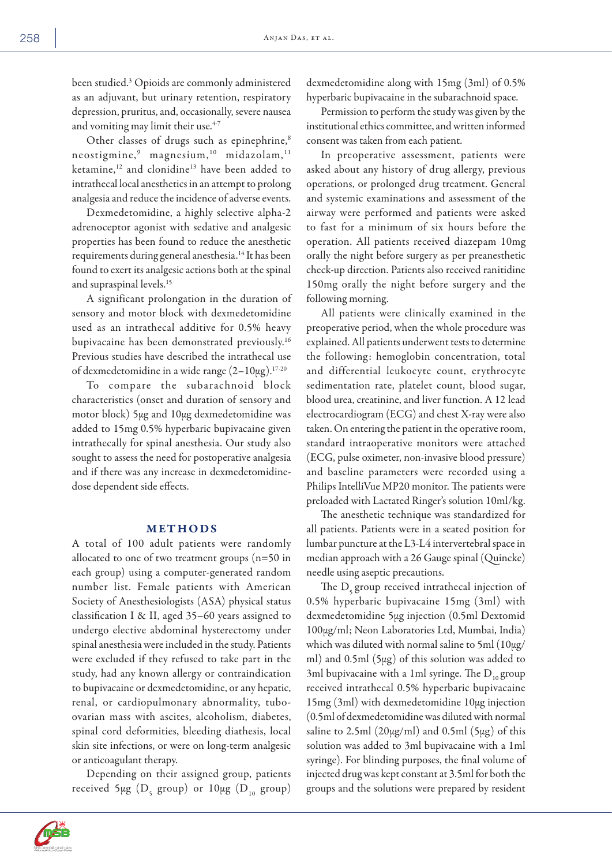been studied.3 Opioids are commonly administered as an adjuvant, but urinary retention, respiratory depression, pruritus, and, occasionally, severe nausea and vomiting may limit their use.<sup>4-7</sup>

Other classes of drugs such as epinephrine,<sup>8</sup> neostigmine, $^9$  magnesium, $^{10}$  midazolam, $^{11}$ ketamine,<sup>12</sup> and clonidine<sup>13</sup> have been added to intrathecal local anesthetics in an attempt to prolong analgesia and reduce the incidence of adverse events.

Dexmedetomidine, a highly selective alpha-2 adrenoceptor agonist with sedative and analgesic properties has been found to reduce the anesthetic requirements during general anesthesia.14 It has been found to exert its analgesic actions both at the spinal and supraspinal levels.15

A significant prolongation in the duration of sensory and motor block with dexmedetomidine used as an intrathecal additive for 0.5% heavy bupivacaine has been demonstrated previously.16 Previous studies have described the intrathecal use of dexmedetomidine in a wide range  $(2-10\mu g).$ <sup>17-20</sup>

To compare the subarachnoid block characteristics (onset and duration of sensory and motor block) 5µg and 10µg dexmedetomidine was added to 15mg 0.5% hyperbaric bupivacaine given intrathecally for spinal anesthesia. Our study also sought to assess the need for postoperative analgesia and if there was any increase in dexmedetomidinedose dependent side effects.

#### METHODS

A total of 100 adult patients were randomly allocated to one of two treatment groups (n=50 in each group) using a computer-generated random number list. Female patients with American Society of Anesthesiologists (ASA) physical status classification I & II, aged 35–60 years assigned to undergo elective abdominal hysterectomy under spinal anesthesia were included in the study. Patients were excluded if they refused to take part in the study, had any known allergy or contraindication to bupivacaine or dexmedetomidine, or any hepatic, renal, or cardiopulmonary abnormality, tuboovarian mass with ascites, alcoholism, diabetes, spinal cord deformities, bleeding diathesis, local skin site infections, or were on long-term analgesic or anticoagulant therapy.

Depending on their assigned group, patients received 5μg  $(D_{5}$  group) or  $10 \mu$ g  $(D_{10}$  group)



Permission to perform the study was given by the institutional ethics committee, and written informed consent was taken from each patient.

In preoperative assessment, patients were asked about any history of drug allergy, previous operations, or prolonged drug treatment. General and systemic examinations and assessment of the airway were performed and patients were asked to fast for a minimum of six hours before the operation. All patients received diazepam 10mg orally the night before surgery as per preanesthetic check-up direction. Patients also received ranitidine 150mg orally the night before surgery and the following morning.

All patients were clinically examined in the preoperative period, when the whole procedure was explained. All patients underwent tests to determine the following: hemoglobin concentration, total and differential leukocyte count, erythrocyte sedimentation rate, platelet count, blood sugar, blood urea, creatinine, and liver function. A 12 lead electrocardiogram (ECG) and chest X-ray were also taken. On entering the patient in the operative room, standard intraoperative monitors were attached (ECG, pulse oximeter, non-invasive blood pressure) and baseline parameters were recorded using a Philips IntelliVue MP20 monitor. The patients were preloaded with Lactated Ringer's solution 10ml/kg.

The anesthetic technique was standardized for all patients. Patients were in a seated position for lumbar puncture at the L3-L4 intervertebral space in median approach with a 26 Gauge spinal (Quincke) needle using aseptic precautions.

The  $D_{\rm s}$  group received intrathecal injection of 0.5% hyperbaric bupivacaine 15mg (3ml) with dexmedetomidine 5μg injection (0.5ml Dextomid 100μg/ml; Neon Laboratories Ltd, Mumbai, India) which was diluted with normal saline to 5ml (10μg/ ml) and 0.5ml (5μg) of this solution was added to 3ml bupivacaine with a 1ml syringe. The  $D_{10}$  group received intrathecal 0.5% hyperbaric bupivacaine 15mg (3ml) with dexmedetomidine 10μg injection (0.5ml of dexmedetomidine was diluted with normal saline to  $2.5$ ml  $(20\mu g/ml)$  and  $0.5$ ml  $(5\mu g)$  of this solution was added to 3ml bupivacaine with a 1ml syringe). For blinding purposes, the final volume of injected drug was kept constant at 3.5ml for both the groups and the solutions were prepared by resident

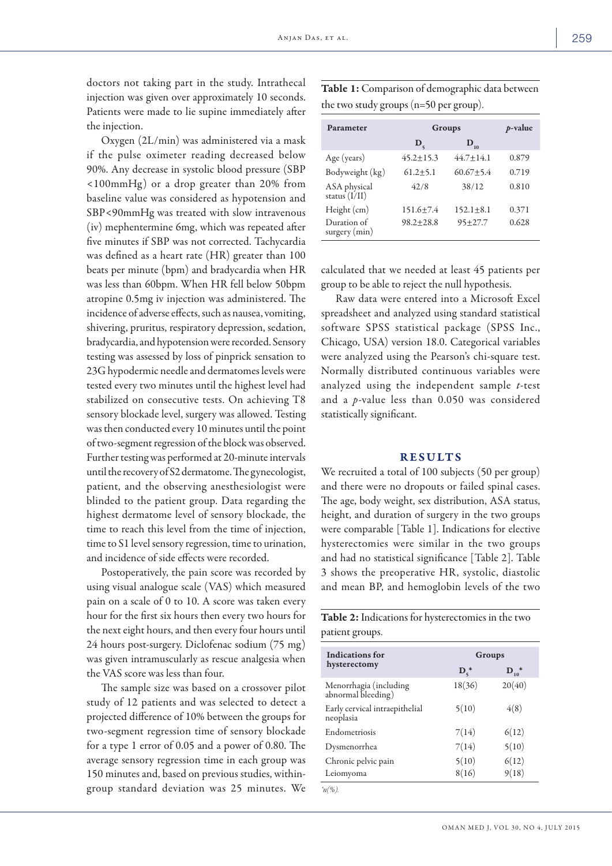doctors not taking part in the study. Intrathecal injection was given over approximately 10 seconds. Patients were made to lie supine immediately after the injection.

Oxygen (2L/min) was administered via a mask if the pulse oximeter reading decreased below 90%. Any decrease in systolic blood pressure (SBP  $\langle 100 \text{mmHg} \rangle$  or a drop greater than 20% from baseline value was considered as hypotension and SBP*<*90mmHg was treated with slow intravenous (iv) mephentermine 6mg, which was repeated after five minutes if SBP was not corrected. Tachycardia was defined as a heart rate (HR) greater than 100 beats per minute (bpm) and bradycardia when HR was less than 60bpm. When HR fell below 50bpm atropine 0.5mg iv injection was administered. The incidence of adverse effects, such as nausea, vomiting, shivering, pruritus, respiratory depression, sedation, bradycardia, and hypotension were recorded. Sensory testing was assessed by loss of pinprick sensation to 23G hypodermic needle and dermatomes levels were tested every two minutes until the highest level had stabilized on consecutive tests. On achieving T8 sensory blockade level, surgery was allowed. Testing was then conducted every 10 minutes until the point of two-segment regression of the block was observed. Further testing was performed at 20-minute intervals until the recovery of S2 dermatome. The gynecologist, patient, and the observing anesthesiologist were blinded to the patient group. Data regarding the highest dermatome level of sensory blockade, the time to reach this level from the time of injection, time to S1 level sensory regression, time to urination, and incidence of side effects were recorded.

Postoperatively, the pain score was recorded by using visual analogue scale (VAS) which measured pain on a scale of 0 to 10. A score was taken every hour for the first six hours then every two hours for the next eight hours, and then every four hours until 24 hours post-surgery. Diclofenac sodium (75 mg) was given intramuscularly as rescue analgesia when the VAS score was less than four.

The sample size was based on a crossover pilot study of 12 patients and was selected to detect a projected difference of 10% between the groups for two-segment regression time of sensory blockade for a type 1 error of 0.05 and a power of 0.80. The average sensory regression time in each group was 150 minutes and, based on previous studies, withingroup standard deviation was 25 minutes. We Table 1: Comparison of demographic data between the two study groups (n=50 per group).

| Parameter                       | Groups         |                   | $p$ -value |
|---------------------------------|----------------|-------------------|------------|
|                                 | $\mathbf{D}_e$ | $\mathbf{D}_{10}$ |            |
| Age (years)                     | $45.2 + 15.3$  | $44.7 + 14.1$     | 0.879      |
| Bodyweight (kg)                 | $61.2 \pm 5.1$ | $60.67 + 5.4$     | 0.719      |
| ASA physical<br>status $(I/II)$ | 42/8           | 38/12             | 0.810      |
| Height (cm)                     | $151.6 + 7.4$  | $152.1 + 8.1$     | 0.371      |
| Duration of<br>$surgery$ (min)  | $98.2 + 28.8$  | $95 + 27.7$       | 0.628      |

calculated that we needed at least 45 patients per group to be able to reject the null hypothesis.

Raw data were entered into a Microsoft Excel spreadsheet and analyzed using standard statistical software SPSS statistical package (SPSS Inc., Chicago, USA) version 18.0. Categorical variables were analyzed using the Pearson's chi-square test. Normally distributed continuous variables were analyzed using the independent sample *t*-test and a *p*-value less than 0.050 was considered statistically significant.

#### RESULTS

We recruited a total of 100 subjects (50 per group) and there were no dropouts or failed spinal cases. The age, body weight, sex distribution, ASA status, height, and duration of surgery in the two groups were comparable [Table 1]. Indications for elective hysterectomies were similar in the two groups and had no statistical significance [Table 2]. Table 3 shows the preoperative HR, systolic, diastolic and mean BP, and hemoglobin levels of the two

Table 2: Indications for hysterectomies in the two patient groups.

| Indications for<br>hysterectomy              | Groups                  |                  |
|----------------------------------------------|-------------------------|------------------|
|                                              | $\mathbf{D}_\epsilon^*$ | ${\bf D}_{10}^*$ |
| Menorrhagia (including<br>abnormal bleeding) | 18(36)                  | 20(40)           |
| Early cervical intraepithelial<br>neoplasia  | 5(10)                   | 4(8)             |
| Endometriosis                                | 7(14)                   | 6(12)            |
| Dysmenorrhea                                 | 7(14)                   | 5(10)            |
| Chronic pelvic pain                          | 5(10)                   | 6(12)            |
| Leiomyoma                                    | 8(16)                   | 9(18)            |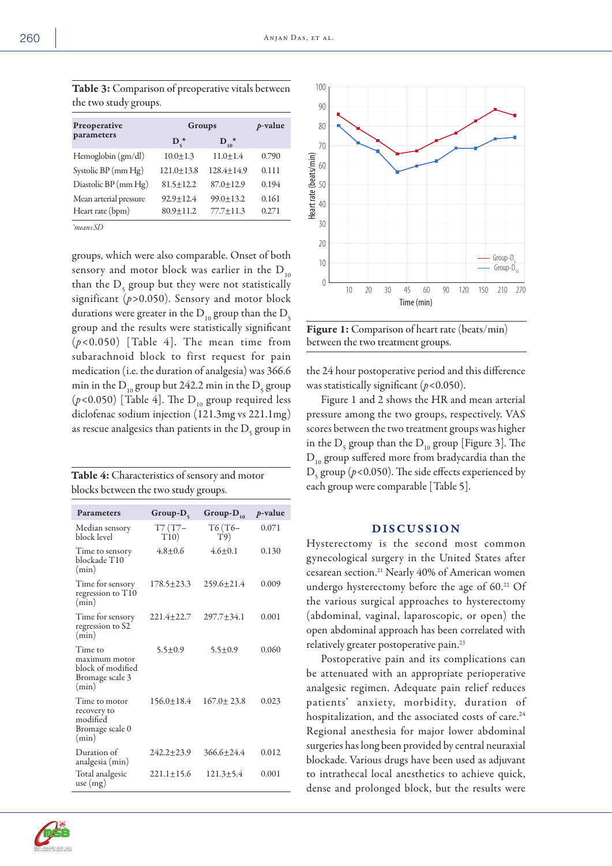| <b>Table 3:</b> Comparison of preoperative vitals between |  |
|-----------------------------------------------------------|--|
| the two study groups.                                     |  |

| Preoperative           | Groups           |                                | $p$ -value |
|------------------------|------------------|--------------------------------|------------|
| parameters             | $\mathbf{D}_e^*$ | $\mathbf{D}_{10}$ <sup>*</sup> |            |
| Hemoglobin (gm/dl)     | $10.0 \pm 1.3$   | $11.0 + 1.4$                   | 0.790      |
| Systolic BP (mm Hg)    | $121.0 + 13.8$   | $128.4 + 14.9$                 | 0.111      |
| Diastolic BP (mm Hg)   | $81.5 + 12.2$    | $87.0 + 12.9$                  | 0.194      |
| Mean arterial pressure | $92.9 + 12.4$    | $99.0 + 13.2$                  | 0.161      |
| Heart rate (bpm)       | $80.9 + 11.2$    | $77.7 \pm 11.3$                | 0.271      |
|                        |                  |                                |            |

*\*mean±SD*

groups, which were also comparable. Onset of both sensory and motor block was earlier in the  $D_{10}$ than the  $D_5$  group but they were not statistically significant (*p>*0.050). Sensory and motor block durations were greater in the  $D_{10}$  group than the  $D_{5}$ group and the results were statistically significant (*p<*0.050) [Table 4]. The mean time from subarachnoid block to first request for pain medication (i.e. the duration of analgesia) was 366.6 min in the  $D_{10}^{\phantom{\dag}}$  group but 242.2 min in the  $D_{5}^{\phantom{\dag}}$  group  $(p<0.050)$  [Table 4]. The D<sub>10</sub> group required less diclofenac sodium injection (121.3mg vs 221.1mg) as rescue analgesics than patients in the  $\mathrm{D}_{\mathsf{s}}$  group in

| <b>Table 4:</b> Characteristics of sensory and motor |  |
|------------------------------------------------------|--|
| blocks between the two study groups.                 |  |

| <b>Parameters</b>                                                         | $Group-D_{s}$     | Group- $D_{10}$  | p-value |
|---------------------------------------------------------------------------|-------------------|------------------|---------|
| Median sensory<br>block level                                             | $T7(T7 -$<br>T10) | T6 (T6–<br>T9)   | 0.071   |
| Time to sensory<br>blockade T10<br>(min)                                  | $4.8 + 0.6$       | $4.6 + 0.1$      | 0.130   |
| Time for sensory<br>regression to T10<br>(min)                            | $178.5 + 23.3$    | $259.6 \pm 21.4$ | 0.009   |
| Time for sensory<br>regression to S2<br>(min)                             | $221.4 + 22.7$    | 297.7±34.1       | 0.001   |
| Time to<br>maximum motor<br>block of modified<br>Bromage scale 3<br>(min) | $5.5 \pm 0.9$     | $5.5 + 0.9$      | 0.060   |
| Time to motor<br>recovery to<br>modified<br>Bromage scale 0<br>(min)      | $156.0 + 18.4$    | $167.0 \pm 23.8$ | 0.023   |
| Duration of<br>analgesia (min)                                            | $242.2 + 23.9$    | $366.6 + 24.4$   | 0.012   |
| Total analgesic<br>use (mg)                                               | $221.1 \pm 15.6$  | $121.3 + 5.4$    | 0.001   |



Figure 1: Comparison of heart rate (beats/min) between the two treatment groups.

the 24 hour postoperative period and this difference was statistically significant (*p<*0.050).

Figure 1 and 2 shows the HR and mean arterial pressure among the two groups, respectively. VAS scores between the two treatment groups was higher in the  $D_{5}$  group than the  $D_{10}$  group [Figure 3]. The  $D_{10}$  group suffered more from bradycardia than the D5 group (*p<*0.050). The side effects experienced by each group were comparable [Table 5].

### DISCUSSION

Hysterectomy is the second most common gynecological surgery in the United States after cesarean section.21 Nearly 40% of American women undergo hysterectomy before the age of 60.22 Of the various surgical approaches to hysterectomy (abdominal, vaginal, laparoscopic, or open) the open abdominal approach has been correlated with relatively greater postoperative pain.23

Postoperative pain and its complications can be attenuated with an appropriate perioperative analgesic regimen. Adequate pain relief reduces patients' anxiety, morbidity, duration of hospitalization, and the associated costs of care.<sup>24</sup> Regional anesthesia for major lower abdominal surgeries has long been provided by central neuraxial blockade. Various drugs have been used as adjuvant to intrathecal local anesthetics to achieve quick, dense and prolonged block, but the results were

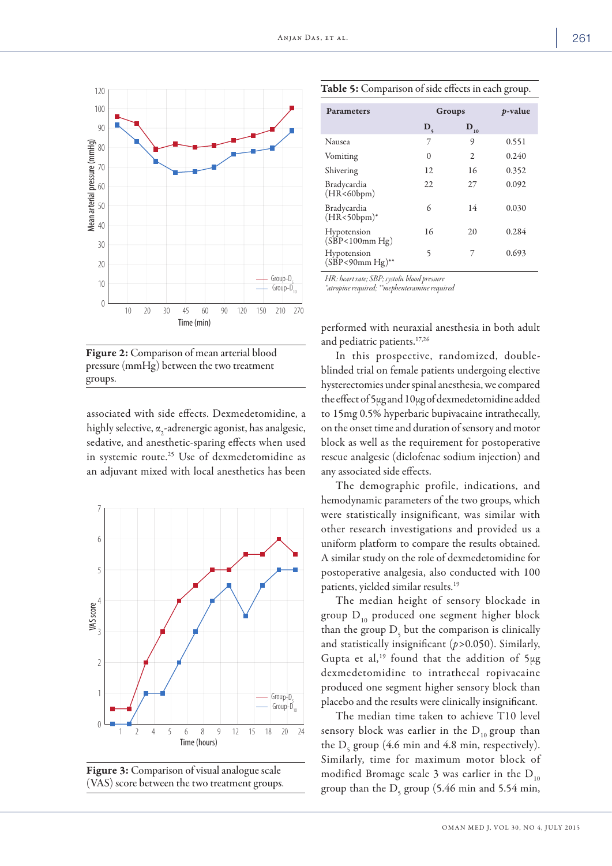

Figure 2: Comparison of mean arterial blood pressure (mmHg) between the two treatment groups.

associated with side effects. Dexmedetomidine, a highly selective,  $\alpha_{2}$ -adrenergic agonist, has analgesic, sedative, and anesthetic-sparing effects when used in systemic route.<sup>25</sup> Use of dexmedetomidine as an adjuvant mixed with local anesthetics has been



Figure 3: Comparison of visual analogue scale (VAS) score between the two treatment groups.

| <b>Parameters</b>             | Groups      |                      | <i>p</i> -value |
|-------------------------------|-------------|----------------------|-----------------|
|                               | $D_{\zeta}$ | $\mathbf{D}_{_{10}}$ |                 |
| Nausea                        | 7           | 9                    | 0.551           |
| Vomiting                      | $\Omega$    | 2                    | 0.240           |
| Shivering                     | 12          | 16                   | 0.352           |
| Bradycardia<br>(HR<60bpm)     | 22          | 27                   | 0.092           |
| Bradycardia<br>$(HR<50bpm)*$  | 6           | 14                   | 0.030           |
| Hypotension<br>(SBP<100mm Hg) | 16          | 20                   | 0.284           |

5 7 0.693

Table 5: Comparison of side effects in each group.

*HR: heart rate; SBP; systolic blood pressure*

Hypotension (SBP*<*90mm Hg)\*\*

*\*atropine required; \*\*mephenteramine required*

performed with neuraxial anesthesia in both adult and pediatric patients.17,26

In this prospective, randomized, doubleblinded trial on female patients undergoing elective hysterectomies under spinal anesthesia, we compared the effect of 5µg and 10µg of dexmedetomidine added to 15mg 0.5% hyperbaric bupivacaine intrathecally, on the onset time and duration of sensory and motor block as well as the requirement for postoperative rescue analgesic (diclofenac sodium injection) and any associated side effects.

The demographic profile, indications, and hemodynamic parameters of the two groups, which were statistically insignificant, was similar with other research investigations and provided us a uniform platform to compare the results obtained. A similar study on the role of dexmedetomidine for postoperative analgesia, also conducted with 100 patients, yielded similar results.19

The median height of sensory blockade in group  $D_{10}$  produced one segment higher block than the group  $D_5$  but the comparison is clinically and statistically insignificant (*p>*0.050). Similarly, Gupta et al,<sup>19</sup> found that the addition of  $5\mu$ g dexmedetomidine to intrathecal ropivacaine produced one segment higher sensory block than placebo and the results were clinically insignificant.

The median time taken to achieve T10 level sensory block was earlier in the  $D_{10}$  group than the  $D<sub>5</sub>$  group (4.6 min and 4.8 min, respectively). Similarly, time for maximum motor block of modified Bromage scale 3 was earlier in the  $D_{10}$ group than the  $D<sub>5</sub>$  group (5.46 min and 5.54 min,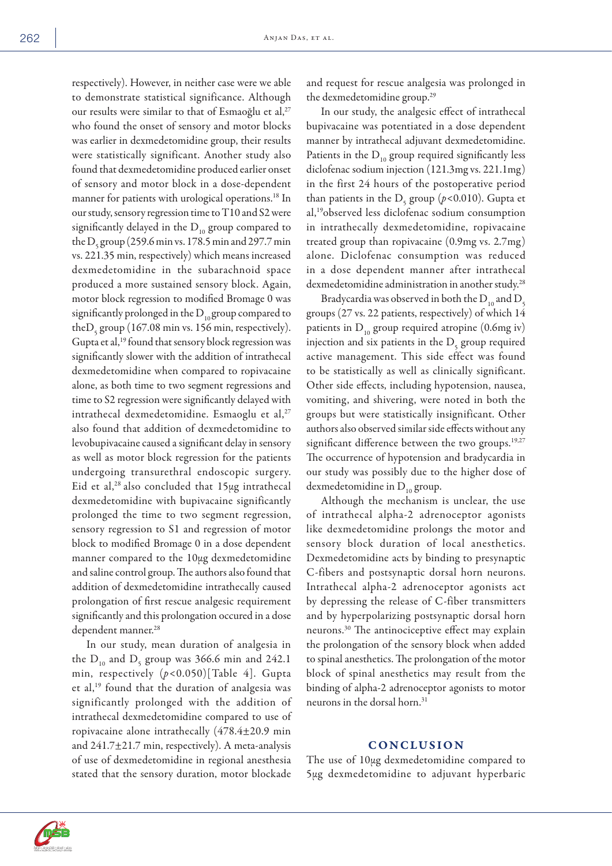respectively). However, in neither case were we able to demonstrate statistical significance. Although our results were similar to that of Esmaoğlu et al,<sup>27</sup> who found the onset of sensory and motor blocks was earlier in dexmedetomidine group, their results were statistically significant. Another study also found that dexmedetomidine produced earlier onset of sensory and motor block in a dose-dependent manner for patients with urological operations.<sup>18</sup> In our study, sensory regression time to T10 and S2 were significantly delayed in the  $D_{10}$  group compared to the  $D_5$  group (259.6 min vs. 178.5 min and 297.7 min vs. 221.35 min, respectively) which means increased dexmedetomidine in the subarachnoid space produced a more sustained sensory block. Again, motor block regression to modified Bromage 0 was significantly prolonged in the  $D_{10}$  group compared to the  $D_5$  group (167.08 min vs. 156 min, respectively). Gupta et al,<sup>19</sup> found that sensory block regression was significantly slower with the addition of intrathecal dexmedetomidine when compared to ropivacaine alone, as both time to two segment regressions and time to S2 regression were significantly delayed with intrathecal dexmedetomidine. Esmaoglu et al,<sup>27</sup> also found that addition of dexmedetomidine to levobupivacaine caused a significant delay in sensory as well as motor block regression for the patients undergoing transurethral endoscopic surgery. Eid et al, $^{28}$  also concluded that  $15\mu$ g intrathecal dexmedetomidine with bupivacaine significantly prolonged the time to two segment regression, sensory regression to S1 and regression of motor block to modified Bromage 0 in a dose dependent manner compared to the 10µg dexmedetomidine and saline control group. The authors also found that addition of dexmedetomidine intrathecally caused prolongation of first rescue analgesic requirement significantly and this prolongation occured in a dose dependent manner.<sup>28</sup>

In our study, mean duration of analgesia in the  $D_{10}$  and  $D_{5}$  group was 366.6 min and 242.1 min, respectively (*p<*0.050)[Table 4]. Gupta et al,19 found that the duration of analgesia was significantly prolonged with the addition of intrathecal dexmedetomidine compared to use of ropivacaine alone intrathecally (478.4±20.9 min and 241.7±21.7 min, respectively). A meta-analysis of use of dexmedetomidine in regional anesthesia stated that the sensory duration, motor blockade

and request for rescue analgesia was prolonged in the dexmedetomidine group.29

In our study, the analgesic effect of intrathecal bupivacaine was potentiated in a dose dependent manner by intrathecal adjuvant dexmedetomidine. Patients in the  $D_{10}$  group required significantly less diclofenac sodium injection (121.3mg vs. 221.1mg) in the first 24 hours of the postoperative period than patients in the D<sub>5</sub> group (*p*<0.010). Gupta et al,19observed less diclofenac sodium consumption in intrathecally dexmedetomidine, ropivacaine treated group than ropivacaine (0.9mg vs. 2.7mg) alone. Diclofenac consumption was reduced in a dose dependent manner after intrathecal dexmedetomidine administration in another study.<sup>28</sup>

Bradycardia was observed in both the  $D_{10}$  and  $D_{5}$ groups (27 vs. 22 patients, respectively) of which 14 patients in  $D_{10}$  group required atropine (0.6mg iv) injection and six patients in the  $D<sub>5</sub>$  group required active management. This side effect was found to be statistically as well as clinically significant. Other side effects, including hypotension, nausea, vomiting, and shivering, were noted in both the groups but were statistically insignificant. Other authors also observed similar side effects without any significant difference between the two groups.<sup>19,27</sup> The occurrence of hypotension and bradycardia in our study was possibly due to the higher dose of dexmedetomidine in  $D_{10}$  group.

Although the mechanism is unclear, the use of intrathecal alpha-2 adrenoceptor agonists like dexmedetomidine prolongs the motor and sensory block duration of local anesthetics. Dexmedetomidine acts by binding to presynaptic C-fibers and postsynaptic dorsal horn neurons. Intrathecal alpha-2 adrenoceptor agonists act by depressing the release of C-fiber transmitters and by hyperpolarizing postsynaptic dorsal horn neurons.30 The antinociceptive effect may explain the prolongation of the sensory block when added to spinal anesthetics. The prolongation of the motor block of spinal anesthetics may result from the binding of alpha-2 adrenoceptor agonists to motor neurons in the dorsal horn.<sup>31</sup>

#### **CONCLUSION**

The use of  $10\mu$ g dexmedetomidine compared to 5µg dexmedetomidine to adjuvant hyperbaric